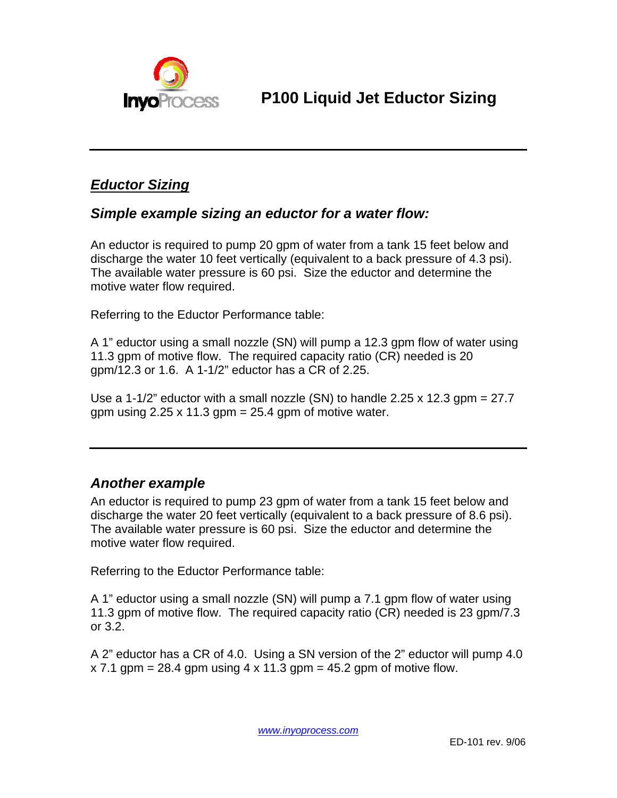

## *Eductor Sizing*

## *Simple example sizing an eductor for a water flow:*

An eductor is required to pump 20 gpm of water from a tank 15 feet below and discharge the water 10 feet vertically (equivalent to a back pressure of 4.3 psi). The available water pressure is 60 psi. Size the eductor and determine the motive water flow required.

Referring to the Eductor Performance table:

A 1" eductor using a small nozzle (SN) will pump a 12.3 gpm flow of water using 11.3 gpm of motive flow. The required capacity ratio (CR) needed is 20 gpm/12.3 or 1.6. A 1-1/2" eductor has a CR of 2.25.

Use a 1-1/2" eductor with a small nozzle (SN) to handle 2.25 x 12.3 gpm = 27.7 gpm using  $2.25 \times 11.3$  gpm = 25.4 gpm of motive water.

## *Another example*

An eductor is required to pump 23 gpm of water from a tank 15 feet below and discharge the water 20 feet vertically (equivalent to a back pressure of 8.6 psi). The available water pressure is 60 psi. Size the eductor and determine the motive water flow required.

Referring to the Eductor Performance table:

A 1" eductor using a small nozzle (SN) will pump a 7.1 gpm flow of water using 11.3 gpm of motive flow. The required capacity ratio (CR) needed is 23 gpm/7.3 or 3.2.

A 2" eductor has a CR of 4.0. Using a SN version of the 2" eductor will pump 4.0  $x$  7.1 gpm = 28.4 gpm using 4 x 11.3 gpm = 45.2 gpm of motive flow.